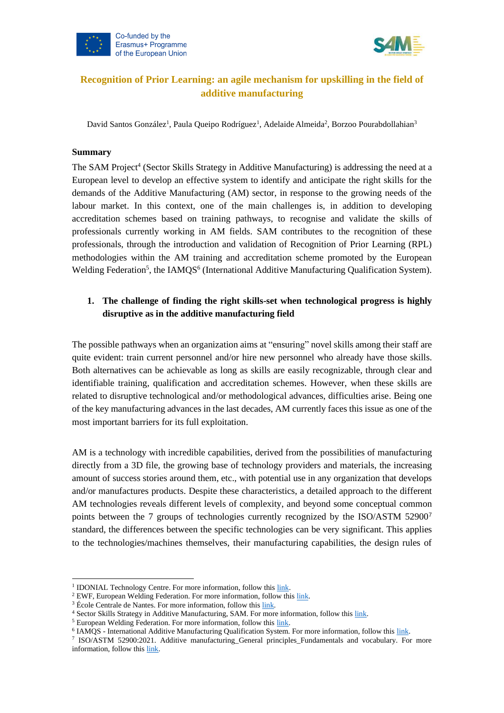



# **Recognition of Prior Learning: an agile mechanism for upskilling in the field of additive manufacturing**

<span id="page-0-0"></span>David Santos González<sup>1</sup>[,](#page-0-0) Paula Queipo Rodríguez<sup>1</sup>, Adelaide Almeida<sup>2</sup>, Borzoo Pourabdollahian<sup>3</sup>

#### **Summary**

The SAM Project<sup>4</sup> (Sector Skills Strategy in Additive Manufacturing) is addressing the need at a European level to develop an effective system to identify and anticipate the right skills for the demands of the Additive Manufacturing (AM) sector, in response to the growing needs of the labour market. In this context, one of the main challenges is, in addition to developing accreditation schemes based on training pathways, to recognise and validate the skills of professionals currently working in AM fields. SAM contributes to the recognition of these professionals, through the introduction and validation of Recognition of Prior Learning (RPL) methodologies within the AM training and accreditation scheme promoted by the European Welding Federation<sup>5</sup>, the IAMQS<sup>6</sup> (International Additive Manufacturing Qualification System).

## **1. The challenge of finding the right skills-set when technological progress is highly disruptive as in the additive manufacturing field**

The possible pathways when an organization aims at "ensuring" novel skills among their staff are quite evident: train current personnel and/or hire new personnel who already have those skills. Both alternatives can be achievable as long as skills are easily recognizable, through clear and identifiable training, qualification and accreditation schemes. However, when these skills are related to disruptive technological and/or methodological advances, difficulties arise. Being one of the key manufacturing advances in the last decades, AM currently faces this issue as one of the most important barriers for its full exploitation.

AM is a technology with incredible capabilities, derived from the possibilities of manufacturing directly from a 3D file, the growing base of technology providers and materials, the increasing amount of success stories around them, etc., with potential use in any organization that develops and/or manufactures products. Despite these characteristics, a detailed approach to the different AM technologies reveals different levels of complexity, and beyond some conceptual common points between the 7 groups of technologies currently recognized by the ISO/ASTM 52900<sup>7</sup> standard, the differences between the specific technologies can be very significant. This applies to the technologies/machines themselves, their manufacturing capabilities, the design rules of

<sup>&</sup>lt;sup>1</sup> IDONIAL Technology Centre. For more information, follow this [link.](https://www.idonial.com/en/)

<sup>&</sup>lt;sup>2</sup> EWF, European Welding Federation. For more information, follow thi[s link.](https://www.ewf.be/)

<sup>&</sup>lt;sup>3</sup> École Centrale de Nantes. For more information, follow this [link.](https://www.ec-nantes.fr/english-version)

<sup>4</sup> Sector Skills Strategy in Additive Manufacturing, SAM. For more information, follow this [link.](https://www.skills4am.eu/)

<sup>5</sup> European Welding Federation. For more information, follow thi[s link.](https://www.ewf.be/)

<sup>&</sup>lt;sup>6</sup> IAMQS - International Additive Manufacturing Qualification System. For more information, follow thi[s link.](https://www.ewf.be/qualification/iamqs.aspx)

<sup>7</sup> ISO/ASTM 52900:2021. Additive manufacturing\_General principles\_Fundamentals and vocabulary. For more information, follow this [link.](https://www.iso.org/standard/74514.html)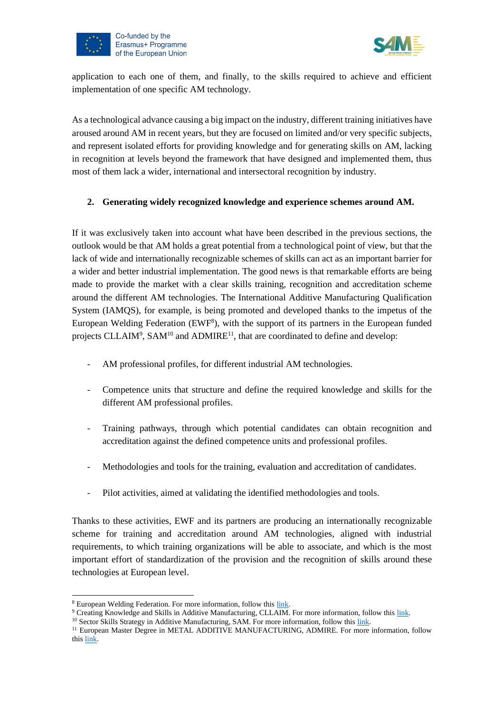



application to each one of them, and finally, to the skills required to achieve and efficient implementation of one specific AM technology.

As a technological advance causing a big impact on the industry, different training initiatives have aroused around AM in recent years, but they are focused on limited and/or very specific subjects, and represent isolated efforts for providing knowledge and for generating skills on AM, lacking in recognition at levels beyond the framework that have designed and implemented them, thus most of them lack a wider, international and intersectoral recognition by industry.

### **2. Generating widely recognized knowledge and experience schemes around AM.**

If it was exclusively taken into account what have been described in the previous sections, the outlook would be that AM holds a great potential from a technological point of view, but that the lack of wide and internationally recognizable schemes of skills can act as an important barrier for a wider and better industrial implementation. The good news is that remarkable efforts are being made to provide the market with a clear skills training, recognition and accreditation scheme around the different AM technologies. The International Additive Manufacturing Qualification System (IAMQS), for example, is being promoted and developed thanks to the impetus of the European Welding Federation (EWF<sup>8</sup>), with the support of its partners in the European funded projects CLLAIM<sup>9</sup>, SAM<sup>10</sup> and ADMIRE<sup>11</sup>, that are coordinated to define and develop:

- AM professional profiles, for different industrial AM technologies.
- Competence units that structure and define the required knowledge and skills for the different AM professional profiles.
- Training pathways, through which potential candidates can obtain recognition and accreditation against the defined competence units and professional profiles.
- Methodologies and tools for the training, evaluation and accreditation of candidates.
- Pilot activities, aimed at validating the identified methodologies and tools.

Thanks to these activities, EWF and its partners are producing an internationally recognizable scheme for training and accreditation around AM technologies, aligned with industrial requirements, to which training organizations will be able to associate, and which is the most important effort of standardization of the provision and the recognition of skills around these technologies at European level.

<sup>8</sup> European Welding Federation. For more information, follow thi[s link.](https://www.ewf.be/)

<sup>9</sup> Creating Knowledge and Skills in Additive Manufacturing, CLLAIM. For more information, follow thi[s link.](http://www.cllaimprojectam.eu/)

<sup>&</sup>lt;sup>10</sup> Sector Skills Strategy in Additive Manufacturing, SAM. For more information, follow this [link.](https://www.skills4am.eu/)

<sup>&</sup>lt;sup>11</sup> European Master Degree in METAL ADDITIVE MANUFACTURING, ADMIRE. For more information, follow thi[s link.](http://www.admireproject.eu/)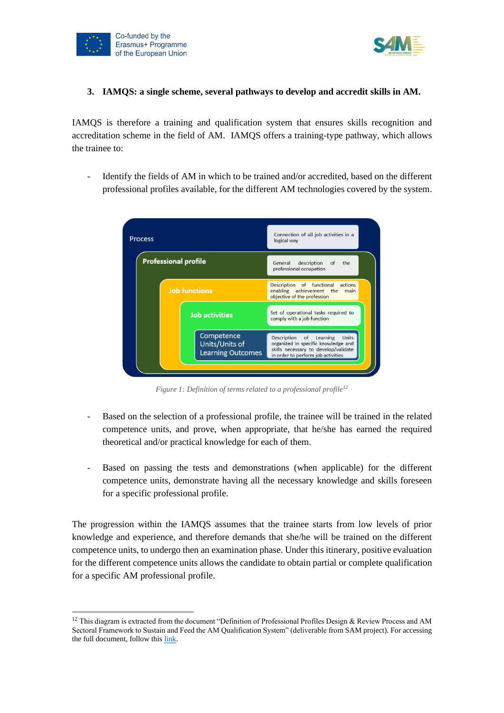



#### **3. IAMQS: a single scheme, several pathways to develop and accredit skills in AM.**

IAMQS is therefore a training and qualification system that ensures skills recognition and accreditation scheme in the field of AM. IAMQS offers a training-type pathway, which allows the trainee to:

Identify the fields of AM in which to be trained and/or accredited, based on the different professional profiles available, for the different AM technologies covered by the system.



*Figure 1: Definition of terms related to a professional profile<sup>12</sup>*

- Based on the selection of a professional profile, the trainee will be trained in the related competence units, and prove, when appropriate, that he/she has earned the required theoretical and/or practical knowledge for each of them.
- Based on passing the tests and demonstrations (when applicable) for the different competence units, demonstrate having all the necessary knowledge and skills foreseen for a specific professional profile.

The progression within the IAMQS assumes that the trainee starts from low levels of prior knowledge and experience, and therefore demands that she/he will be trained on the different competence units, to undergo then an examination phase. Under this itinerary, positive evaluation for the different competence units allows the candidate to obtain partial or complete qualification for a specific AM professional profile.

<sup>&</sup>lt;sup>12</sup> This diagram is extracted from the document "Definition of Professional Profiles Design & Review Process and AM Sectoral Framework to Sustain and Feed the AM Qualification System" (deliverable from SAM project). For accessing the full document, follow this [link.](https://www.skills4am.eu/documents/D3.1%20Methodology%20review%20and%20design%20PP_M34.pdf)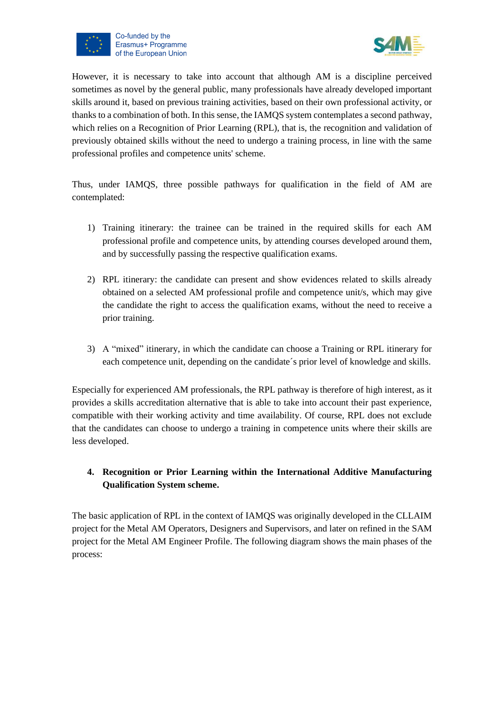



However, it is necessary to take into account that although AM is a discipline perceived sometimes as novel by the general public, many professionals have already developed important skills around it, based on previous training activities, based on their own professional activity, or thanks to a combination of both. In this sense, the IAMQS system contemplates a second pathway, which relies on a Recognition of Prior Learning (RPL), that is, the recognition and validation of previously obtained skills without the need to undergo a training process, in line with the same professional profiles and competence units' scheme.

Thus, under IAMQS, three possible pathways for qualification in the field of AM are contemplated:

- 1) Training itinerary: the trainee can be trained in the required skills for each AM professional profile and competence units, by attending courses developed around them, and by successfully passing the respective qualification exams.
- 2) RPL itinerary: the candidate can present and show evidences related to skills already obtained on a selected AM professional profile and competence unit/s, which may give the candidate the right to access the qualification exams, without the need to receive a prior training.
- 3) A "mixed" itinerary, in which the candidate can choose a Training or RPL itinerary for each competence unit, depending on the candidate´s prior level of knowledge and skills.

Especially for experienced AM professionals, the RPL pathway is therefore of high interest, as it provides a skills accreditation alternative that is able to take into account their past experience, compatible with their working activity and time availability. Of course, RPL does not exclude that the candidates can choose to undergo a training in competence units where their skills are less developed.

# **4. Recognition or Prior Learning within the International Additive Manufacturing Qualification System scheme.**

The basic application of RPL in the context of IAMQS was originally developed in the CLLAIM project for the Metal AM Operators, Designers and Supervisors, and later on refined in the SAM project for the Metal AM Engineer Profile. The following diagram shows the main phases of the process: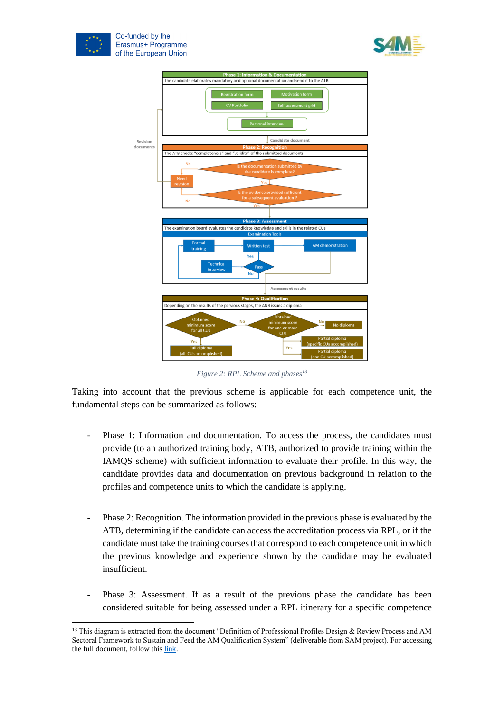





*Figure 2: RPL Scheme and phases<sup>13</sup>*

Taking into account that the previous scheme is applicable for each competence unit, the fundamental steps can be summarized as follows:

- Phase 1: Information and documentation. To access the process, the candidates must provide (to an authorized training body, ATB, authorized to provide training within the IAMQS scheme) with sufficient information to evaluate their profile. In this way, the candidate provides data and documentation on previous background in relation to the profiles and competence units to which the candidate is applying.
- Phase 2: Recognition. The information provided in the previous phase is evaluated by the ATB, determining if the candidate can access the accreditation process via RPL, or if the candidate must take the training courses that correspond to each competence unit in which the previous knowledge and experience shown by the candidate may be evaluated insufficient.
- Phase 3: Assessment. If as a result of the previous phase the candidate has been considered suitable for being assessed under a RPL itinerary for a specific competence

<sup>&</sup>lt;sup>13</sup> This diagram is extracted from the document "Definition of Professional Profiles Design & Review Process and AM Sectoral Framework to Sustain and Feed the AM Qualification System" (deliverable from SAM project). For accessing the full document, follow this [link.](https://www.skills4am.eu/documents/D3.1%20Methodology%20review%20and%20design%20PP_M34.pdf)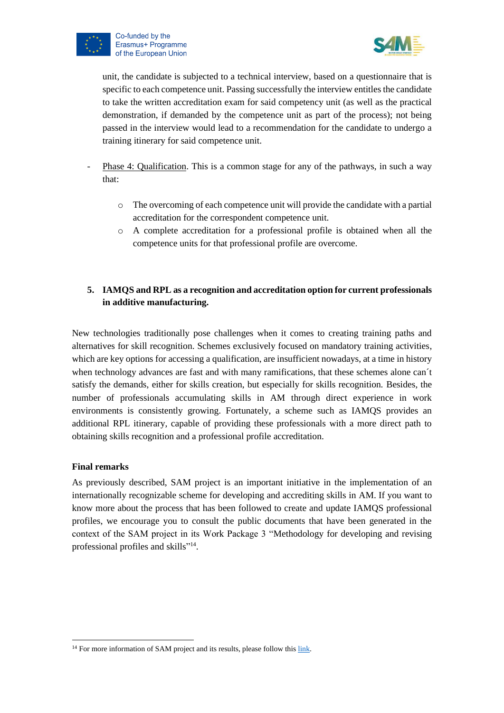



unit, the candidate is subjected to a technical interview, based on a questionnaire that is specific to each competence unit. Passing successfully the interview entitles the candidate to take the written accreditation exam for said competency unit (as well as the practical demonstration, if demanded by the competence unit as part of the process); not being passed in the interview would lead to a recommendation for the candidate to undergo a training itinerary for said competence unit.

- Phase 4: Qualification. This is a common stage for any of the pathways, in such a way that:
	- o The overcoming of each competence unit will provide the candidate with a partial accreditation for the correspondent competence unit.
	- o A complete accreditation for a professional profile is obtained when all the competence units for that professional profile are overcome.

## **5. IAMQS and RPL as a recognition and accreditation option for current professionals in additive manufacturing.**

New technologies traditionally pose challenges when it comes to creating training paths and alternatives for skill recognition. Schemes exclusively focused on mandatory training activities, which are key options for accessing a qualification, are insufficient nowadays, at a time in history when technology advances are fast and with many ramifications, that these schemes alone can´t satisfy the demands, either for skills creation, but especially for skills recognition. Besides, the number of professionals accumulating skills in AM through direct experience in work environments is consistently growing. Fortunately, a scheme such as IAMQS provides an additional RPL itinerary, capable of providing these professionals with a more direct path to obtaining skills recognition and a professional profile accreditation.

### **Final remarks**

As previously described, SAM project is an important initiative in the implementation of an internationally recognizable scheme for developing and accrediting skills in AM. If you want to know more about the process that has been followed to create and update IAMQS professional profiles, we encourage you to consult the public documents that have been generated in the context of the SAM project in its Work Package 3 "Methodology for developing and revising professional profiles and skills"<sup>14</sup>.

<sup>&</sup>lt;sup>14</sup> For more information of SAM project and its results, please follow this [link.](https://www.skills4am.eu/results.html)